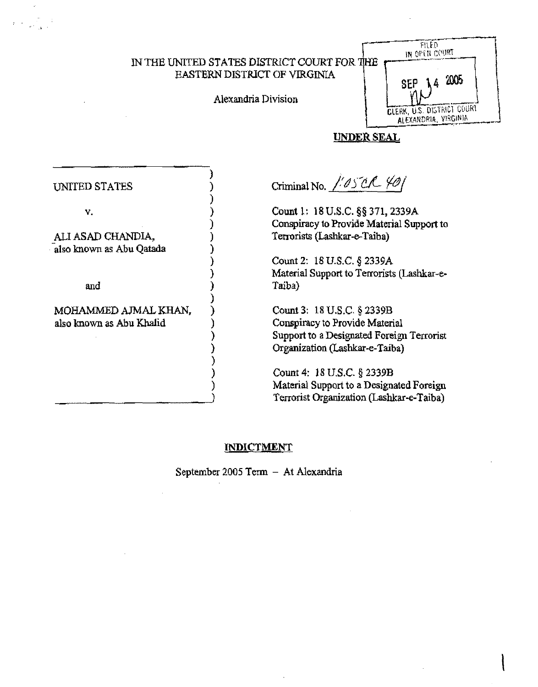IN THE UNITED STATES *DISTRlCT* COURT FOR EASTERN DISTRICT OF VIRGINIA

Alexandria Division

)

)

)

) )

)

) ) ) ) ) )



 $\mathbf{\mathbf{I}}$ 

# UNDER SEAL

| UNITED STATES |  |
|---------------|--|
|---------------|--|

v.  $\qquad \qquad$  )

ALI ASAD CHANDIA, -also known as Abu Qatada )

and

MOHAMMED AJMAL KHAN, also known as Abu Khalid )

 $C$ riminal No.  $\frac{1}{60}$  S<sup>u</sup>C-  $\frac{1}{60}$ 

Count 1: 18 U.S.C. §§ 371, 2339A Conspiracy to Provide Material Support to Terrorists (Lashkar-e-Taiba)

Count 2: 18 U.S.C. § 2339A Material Support to Terrorists (Lashkar-e-Taiba)

Count 3: 18 U.S.c. § 2339B Conspiracy to Provide Material Support to a Designated Foreign Terrorist Organization (Lashkar-e-Taiba)

Count 4: }8 U.S.C § 2339B Material Support to a Designated Foreign Terrorist Organization (Lashkar-e-Taiba)

## **INDICTMENT**

September 2005 Term - At Alexandria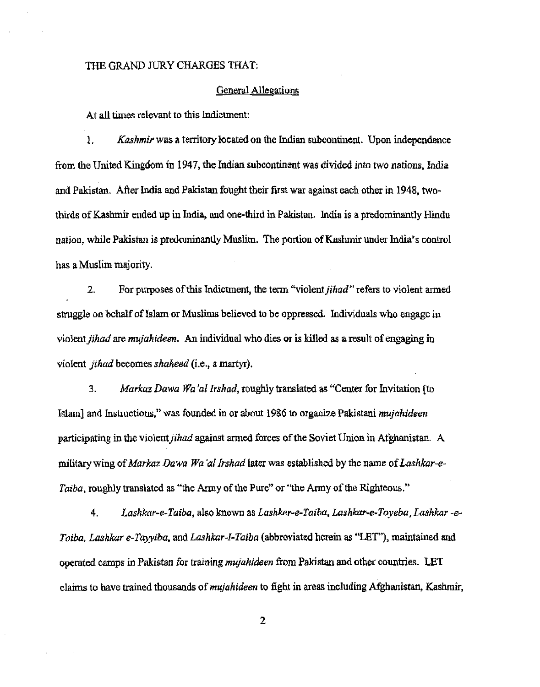#### THE GRAND JURY CHARGES THAT:

#### General Allegations

At all times relevant to this Indictment:

1. *Kashmir* was a territory located on the Indian subcontinent. Upon independence from the United Kingdom in 1947, the Indian subcontinent was divided into two nations, India and Pakistan. After India and Pakistan fought their first war against each other in 1948, twothirds of Kashmir ended up in India, and one-third in Pakistan. India is a predominantly Hindu nation, while Pakistan is predominantly Muslim. The portion of Kashmir under India's control has a Muslim majority.

2. For purposes of this Indictment, the term "violent *jihad* " refers to violent armed struggle on behalf of Islam or Muslims believed to be oppressed. Individuals who engage in violent *jihad* are *mujahideen.* An individual who dies or is killed as a result of engaging in violent *jihad* becomes *shaheed* (i.e., a martyr).

*3. Markaz Dawa Wa 'at Irshad,* roughly translated as "Center for Invitation [to Islam] and Instructions," was founded in or about 1986 10 organize Pakistani *mujahideen*  participating in the violent *jihad* against armed forces of the Soviet Union in Afghanistan. A military wing of *Markaz Dawa Wa'al Irshad* later was established by the name of *Lashkar-e-Taiba,* roughly translated as "the Army of the Pure" or "the Army of the Righteous."

*4. Lashkar-e-Taiba,* also known as *Lashker-e-Taiba, Lashkar-e-Toyeba, Lashkar -e-Toiba, Lashkar e-TaY,Yiba,* and *Lashkar-I-Taiba* (abbreviated herein as "LET"), maintained and operated camps in Pakistan for training *mUjahideen* from Pakistan and other countries. LET claims to have trained thousands of *mujahideen* to fight in areas including Mghanistan, Kashmir,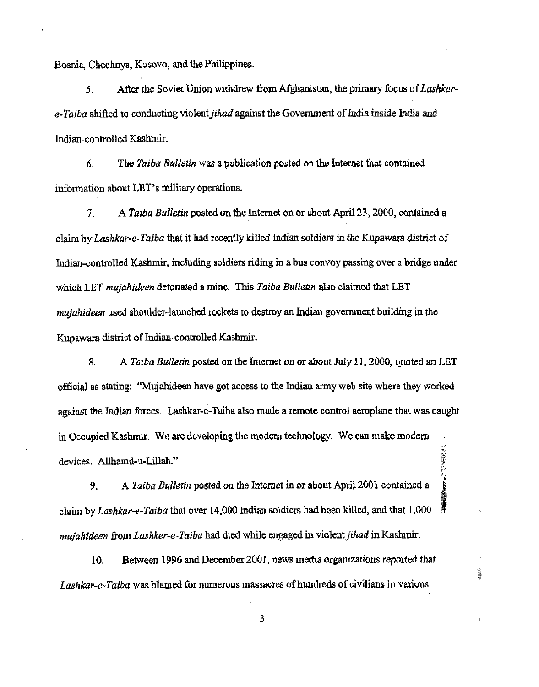Bosnia, Chechnya, Kosovo, and the Philippines.

5. After the Soviet Union withdrew from Afghanistan, the primary focus of *Lashkare-Taiha* shifted to conducting violent *jihad* against the Govenunent of India inside India and Indian-controlled Kashmir.

6. The *Taiba Bulletin* was a publication posted on the Internet that contained information about LET's military operations.

7. A *Taiba Bulletin* posted on the Internet on or about April 23, 2000, contained a claim by *Lashkar-e-Taiba* that it had recently killed Indian soldiers in the Kupawara district of Indian-controlled Kashmir, including soldiers riding in a bus convoy passing over a bridge under which LET *mujahideen* detonated a mine. This *Taiba Bulletin* also claimed that LET *mujahideen* used shoulder-launched rockets to destroy an Indian government building in the Kupawata district of Indian-controlled Kashmir.

8. A *Taiba Bulletin* posted on the Internet on or about July 11, 2000, quoted an LET official as stating: "Mujahideen have got access to the Indian army web site where they worked against the Indian forces. lashkat-e-Taiba also made a remote control aeroplane that was caught in Occupied Kashmir. We are developing the modern technology. We can make modern **The Community of Property** devices. Allhamd-u-LiUah."

9. A Taiba Bulletin posted on the Internet in or about April 2001 contained a claim by Lashkar-e-Taiba that over 14,000 Indian soldiers had been killed, and that 1,000 *mujahideen* from *Lashker-e-Taiba* had died while engaged in violent *jihad* in Kasluuir.

10. Between 1996 and December 2001, news media organizations reported that. *Lashkar-e-Taiba* was blamed for nwnerous massacres of hundreds of civilians in various

3

美莓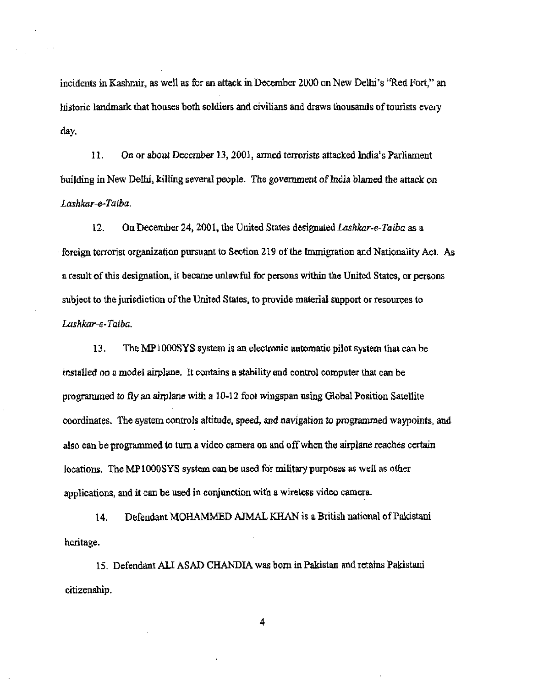incidents in Kashmir, as well as for an attack in December 2000 on New Delhi's ''Red Fort," an historic landmark that houses both soldiers and civilians and draws thousands of tourists every day.

11. On or about December 13, 2001, anned terrorists attacked India's Parliament building in New Delhi, killing several people. The government of India blamed the attack on *Lashkar-e-Taiba.* 

12. On December 24, 2001, the United States designated *Lashkar-e-Taiba* as a . foreign terrorist organization pursuant to Section 219 of the Immigration and Nationality Act. As a result of this designation, it became unlawful for persons within the United States, or persons subject to the jurisdiction of the United Stales, to provide material support or resources to *Lashkar-e-Taiba.* 

13. The  $MP 1000$ SYS system is an electronic automatic pilot system that can be installed on a model airplane. It contains a stability and control computer that can be programmed to fly an airplane with a 10-12 foot wingspan using Global Position Satellite coordinates. The system controls altitude, speed, and navigation to programmed waypoints, and also can be programmed to turn a video camera on and offwhen the airplane reaches certain locations. The MPl OOOSYS system can be used for military purposes as well as other applications, and it can be used in conjunction with a wireless video camera.

14. Defendant MOHAMMED AJMAL KHAN is a British national of Pakistani heritage.

15. Defendant ALI ASAD CHANDIA was born in Pakistan and retains Pakistani citizenship.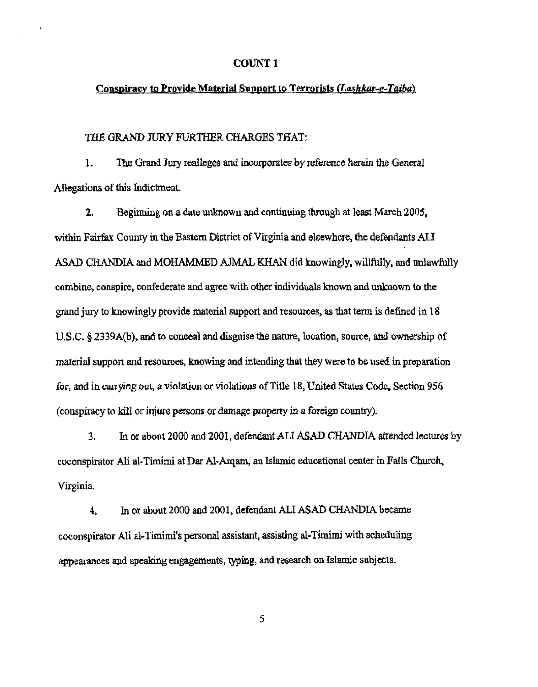### COUNT<sub>1</sub>

### Conspiracy to Provide Material Support to Terrorists *(Lashkar-e-Taiba)*

#### THE GRAND JURy FURTHER CHARGES THAT:

1. The Grand Jury realleges and incorporates by reference herein the General Allegations of this Indictment.

2. Beginning on a date unknown and continuing through at least March 2005, within Fairfax County in the Eastern District of Virginia and elsewhere, the defendants ALI ASAD CHANDIA and MOHAMMED AJMAL KHAN did knowingly, willfully, and unlawfully combine, conspire, confederate and agree with other individuals known and unknown to the grand jury to knowingly provide material support and resources, as that term is defined in 18 U.S.C. § 2339A(b), and to conceal and disguise the nature, location, source, and ownership of material support and resources, knowing and intending that they were to be used in preparation for, and in carrying out, a violation or violations of Title 18, United States Code, Section 956 (conspiracy to kill or injure persons or damage property in a foreign counby).

3. In or about 2000 and 2001, defendant AU ASAD CHANDIA attended lectures by coconspirator Ali ai-Timimi at Dar AJ-Arqam, an Islamic educational center in Falls Church, Virginia.

4. In or about 2000 and 2001, defendant ALI ASAD CHANDlA became coconspirator Ali al-Timimi's personal assistant, assisting al-Timimi with scheduling appearances and speaking engagements, typing, and research on Islamic subjects.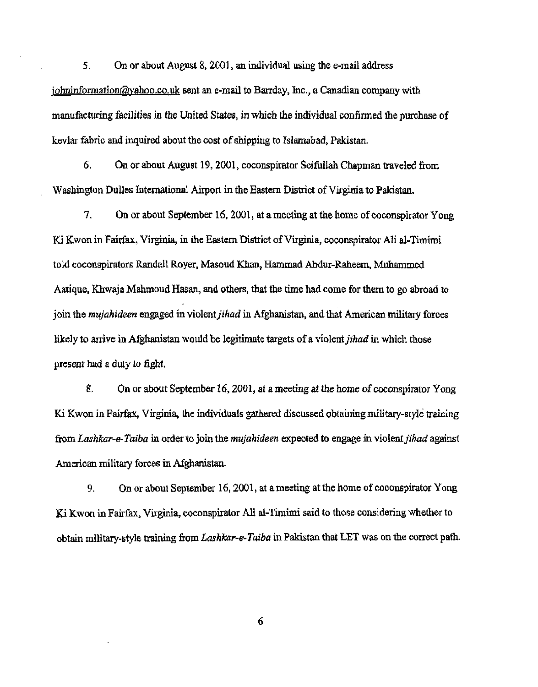5. On or about August 8, 2001, an individual using the e-mail address  $j$ ohninformation@yahoo.co.uk sent an e-mail to Barrday, lnc., a Canadian company with manufacturing facilities in the United States, in which the individual confirmed the purchase of kevlar fabric and inquired about the cost of shipping to Islamabad, Pakistan.

6. On or about August 19, 2001, coconspirator Seifullah Chapman traveled from Washington Dulles International Airport in the Eastern District of Virginia to Pakistan.

7. On or about September 16, 2001, at a meeting at the borne of coconspirator Yong Ki Kwon in Fairfax, Virginia, in the Eastem District of Virginia, coconspirator Ali al-Timirni told coconspirators Randall Royer, Masoud Khan, Hammad Abdur-Raheem, Muhammed Aatique, Khwaja Mahmoud Hasan, and others, that the time had come for them to go abroad to join the *mujahideen* engaged in violent *jihad* in Afghanistan, and that American military forces likely to arrive in Afghanistan would be legitimate targets of a violent *jihad* in which those present had a duty to fight.

8. On or about September 16, 2001, at a meeting at the home of coconspirator Yong Ki Kwon in Fairfax, Virginia, the individuals gathered discussed obtaining military-style training from *Lashkar-e-Taiba* in order to join the *mujahideen* expected to engage in violent *jihad* against American military forces in Afghanistan.

9. On or about September 16, 2001, at a meeting at the home of coconspirator Yong Ki Kwon in Fairfax, Virginia. coconspirator Ali aI-Tirnimi said to those considering whether to obtain military-style training from *Lashkar-e-Taiba* in Pakistan that LET was on the correct path.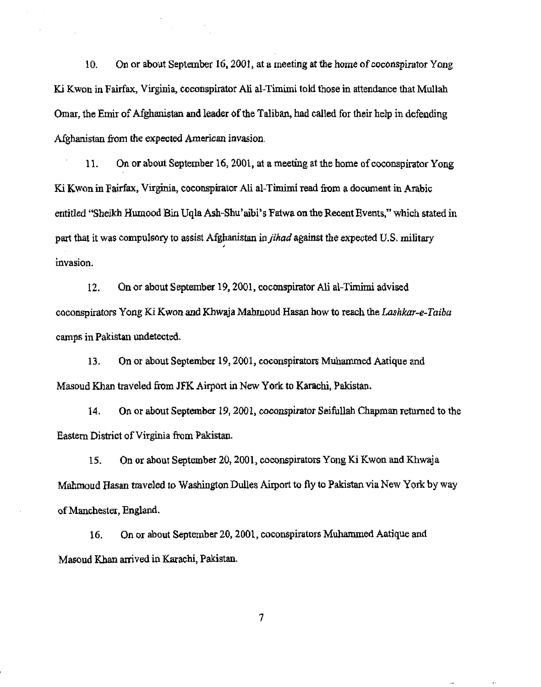10. On or about September 16, 2001, at a meeting at the home of coconspirator Yong Ki Kwon in Fairfax, Virginia, coconspirator Ali al-Timimi told those in attendance that Mullah Omar, the Emir of Afghanistan and leader of the Taliban, had called for their help in defending Afghanistan from the expected American invasion.

11. On or about September 16, 2001, at a meeting at the home of coconspirator Yong K. Kwon in Fairfax, Virginia, coconspirator Ali al-Timimi read from a document in Arabic entitled "Sheikh Humood Bin Uqla Ash-Shu' aibi' s Fatwa on the Recent Events," which stated in part that it was compulsory to assist Afghanistan in *jihad* against the expected U.S. military invasion.

12. On or about September 19,2001, coconspirator Ali al-Tirnimi advised coconspirators Yong Ki Kwon and Khwaja Mahmoud Hasan how to reach the *Lashkar-e-Taiba*  camps in Pakistan undetected.

13. On or about September 19,2001, coconspirators Muhammed Aatique and Masoud Khan traveled from JFK Airport in New York to Karachi, Pakistan.

14. On or about September 19, 2001, coconspirator Seifullah Chapman returned to the Eastern District of Virginia from Pakistan.

15. On or about September 20, 2001, coconspirators Yong Ki Kwon and Khwaja Mahmoud Hasan traveled to Washington Dulles Airport to fly to Pakistan via New York by way of Manchester, England.

16. On or about September 20, 2001, coconspirators Muhammed Aatique and Masoud Khan arrived in Karachi, Pakistan.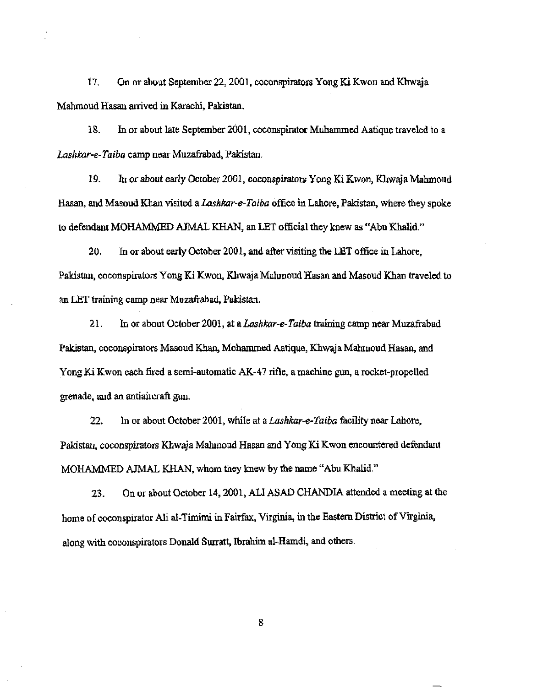17. On or about September 22, 2001, coconspirators Yong Ki Kwon and Khwaja Mahmoud Hasan arrived in Karachi, Pakistan.

18. In or about late September 2001, coconspirator Muhammed Aatique traveled to a *Lashkar-e-Taiba* camp near Muzafi-abad, Pakistan.

19. In or about early October 2001, coconspirators Yong Ki Kwon, Khwaja Mahmoud Hasan, and Masoud Khan visited a *Lashkar-e-Taiba* office in Lahore, Pakistan, where they spoke to defendant MOHAMMED AJMAL KHAN, an LET official they knew as "Abu Khalid."

20. In or about early October 2001, and after visiting the LET office in Lahore, Pakistan, coconspirators Yong Ki Kwon, Khwaja Mahmoud Hasan and Masoud Khan traveled to an LET training camp near Muzafrabad, Pakistan.

21. In or about October 2001, at a *Lashkar-e-Taiba* training camp near Muzafrabad Pakistan, coconspirators Masoud Khan, Mohammed Aatique, Khwaja Mahmoud Hasan, and Yong Ki Kwon each fired a semi-automatic AK-47 rifle. a machine gun, a rocket-propelled grenade, and an antiaircraft gun.

22. In or about October 2001, while at a *Lashkar-e-Taiba* facility near Lahore, Pakistan, coconspirators Khwaja Mahmoud Hasan and Yang Ki Kwon encountered defendant MOHAMMED AJMAL KHAN, whom they knew by the name "Abu Khalid."

23. On or about October 14, 2001, ALI ASAD CHANDIA attended a meeting at the home of coconspirator Ali al-Timimi in Fairfax, Virginia, in the Eastern District of Virginia, along with coconspirators Donald Surratt, Ibrahim al-Hamdi, and others.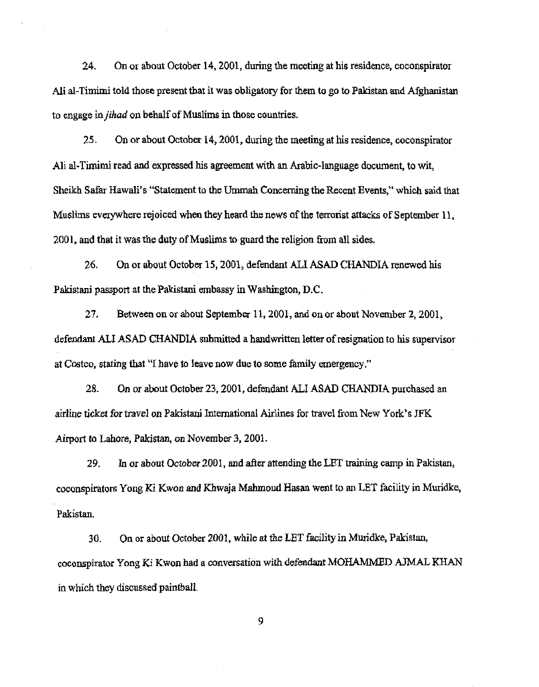24. On or about October 14, 2001, during the meeting at his residence, coconspirator Ali aI-Timimi told those present that it was obligatory for them to go to Pakistan and Afghanistan to engage in *jihad* on behalf of Mnslims in those countries.

25. On or about October 14, 2001, during the meeting at his residence, coconspirator Ali al-Timimi read and expressed his agreement with an Arabic-language document, to wit, Sheikh Safar Hawaii's "Statement to the Ummah Concerning the Recent Events," which said that Muslims everywhere rejoiced when they heard the news of the terrorist attacks of September 11, 2001, and that it was the duty of Muslims to guard the religion from all sides.

26. On or about October 15, 2001, defendant ALI ASAD CHANDIA renewed his Pakistani passport at the Pakistani embassy in Washington, D.C.

27. Between on or about September 11, 2001, and onor about November 2, 2001, defendant All ASAD CHANDIA submitted a handwritten letter of resignation to his supervisor at Casteo, stating that "1 have to leave now due to some family emergency."

28. On or about October 23, 2001, defendant ALI ASAD CHANDIA purchased an airline ticket for travel on Pakistani International Airlines for travel from New York's JFK Airport to Lahore, Pakistan, on November 3, 200l.

29. In or about October 2001, and after attending the LEf training camp in Pakistan, coconspirators Yang Ki Kwon and Khwaja Mahmoud Hasan went to an LET facility in Mmidke, Pakistan.

30. On or about October 2001, while at the LET facility in Muriclke, Pakistan, coconspirator Yong Ki Kwon had a conversation with defendant MOHAMMED A.JMAL KHAN in which they discussed paintball.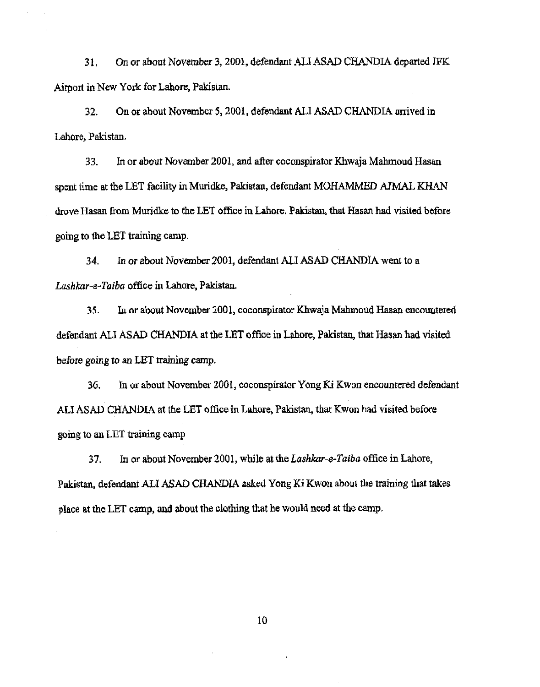31. On or about November 3, 2001, defendant All ASAJ) CHANDIA departed JFK Airport in New York for Lahore, Pakistan.

32. On or about November 5, 2001. defendant ALI ASAD CHANDIA anived in Lahore, Pakistan.

33. In or about November 2001, and after coconspirator Khwaja Mahmoud Hasan spent time at the LET facility in Muridke, Pakistan, defendant MOHAMMED AJMAL KHAN drove Hasan from Muridke to the LET office in Lahore, Pakistan, that Hasan had visited before going to the LET training camp.

34. In or about November 2001, defendant ALI ASAD CHANDIA went to a *Lashkar-e· Taiba* office in Lahore, Pakistan.

35. In or about November 2001, coconspirator Khwaja Mahmoud Hasan encountered defendant ALI ASAD CHANDIA at the LET office in Lahore, Pakistan, that Hasan had visited before going to an LET training camp.

36. In or about November 2001, coconspirator Yong K.i Kwon encountered defendant ALI ASAD CHANDIA at the LET office in Lahore, Pakistan, that Kwon had visited before going to an LET training camp

37. In or about November 2001, while at the *Lashkar-e-Taiba* office in Lahore, Pakistan, defendant ALI ASAD CHANDIA asked Yang Ki Kwon about the training that takes place at the LET camp, and about the clothing that he would need at the camp.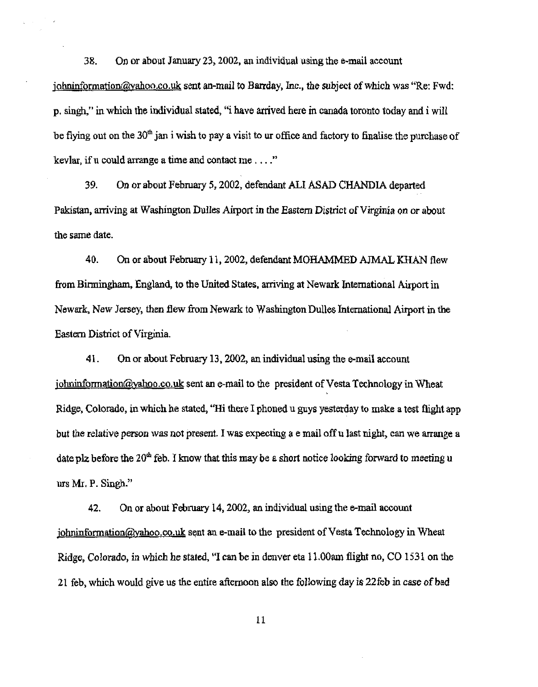38. On or about January 23,2002, an individual using the e-mail account johninformation@yahoo.co.uk sent an-mail to Barrday, Inc., the subject of which was "Re: Fwd: p. singh," in which the individual stated, "i have arrived here in canada toronto today and i will be flying out on the  $30<sup>th</sup>$  jan i wish to pay a visit to ur office and factory to finalise the purchase of kevlar, if u could arrange a time and contact me  $\dots$ ."

39. On or about February 5, 2002, defendant ALI ASAD CHANDlA departed Pakistan, arriving at Washington Dulles Airport in the Eastern District of Virginia on or about the same date.

40. On or about February II, 2002, defendant MOHAMMED AJMAL KHAN flew from Birmingham, England, to the United States. arriving at Newark International Airport in Newark, New Jersey, then flew from Newark to Washington Dulles International Airport in the Eastern District of Virginia.

41. On or about February 13, 2002, an individual using the e-mail account  $\phi$  johninformation@yahoo.co.uk sent an e-mail to the president of Vesta Technology in Wheat Ridge, Colorado, in which he stated, "Hi there I phoned u guys yesterday to make a test flight app but the relative person was not present I was expecting a email off u last night, can we arrange a date plz before the  $20<sup>th</sup>$  feb. I know that this may be a short notice looking forward to meeting u urs Mr. P. Singh."

42. On or about February 14, 2002, an individual using the e-mail account  $\phi$  johninformation@yahoo.co.uk sent an e-mail to the president of Vesta Technology in Wheat Ridge, Colorado, in which he stated, "I can be in denver eta 11.00am flight no, CO 1531 on the 21 feb, which would give us the entire afternoon also the following day is 22feb in case of bad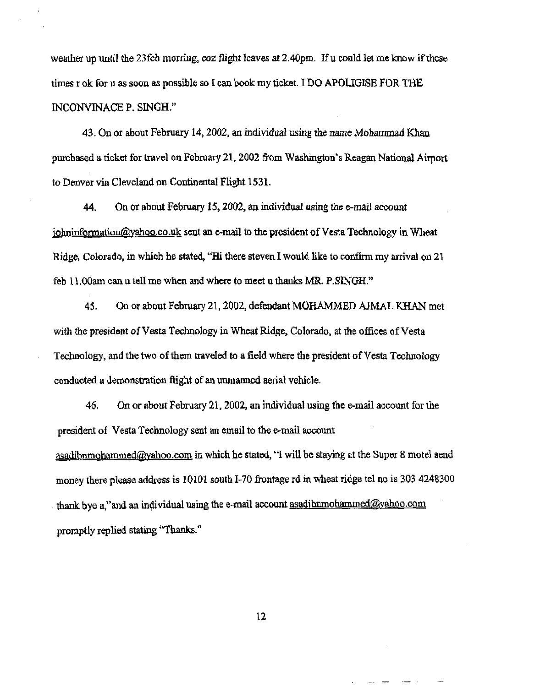weather up until the 23feb morring, coz flight leaves at 2.40pm. If u could let me know if these times r ok for u as soon as possible so I can book my ticket. I DO APOLIGISE FOR THE INCONVINACE P. SINGH."

43. On or about February 14, 2002, an individual using the name Mohammad Khan purchased a ticket for travel on February 21,2002 from Washington's Reagan National Airport to Denver via Cleveland on Continental Flight 1531.

44. On or about February 15, 2002, an individual using the e-mail account johninformation@yahoo.co.uk sent an e-mail to the president of Vesta Technology in Wheat Ridge. Colorado, in which he stated, "Hi there steven I would like to confinn my arrival on 21 feb 11.QOam can u tell me when and where to meet u thanks MR. P.SINGH."

45. On or about February 21, 2002, defendant MOHAMMED A1MAL KHAN met with the president of Vesta Technology in Wheat Ridge, Colorado, at the offices of Vesta Technology, and the two of them traveled to a field where the president of Vesta Technology conducted a demonstration flight of an urunanned aerial vehicle.

46. On or about February 21, 2002, an individual using the e-mail account for the president of Vesta TeChnology sent an email to the e-mail account  $asadibnmodnammed@yahoo.com$  in which he stated, "I will be staying at the Super 8 motel send money there please address is 10101 south I-70 frontage rd in wheat ridge tel no is 303 4248300 thank bye a,"and an individual using the e-mail account asadjbrunohammed@yahoo.com promptly replied stating "Thanks."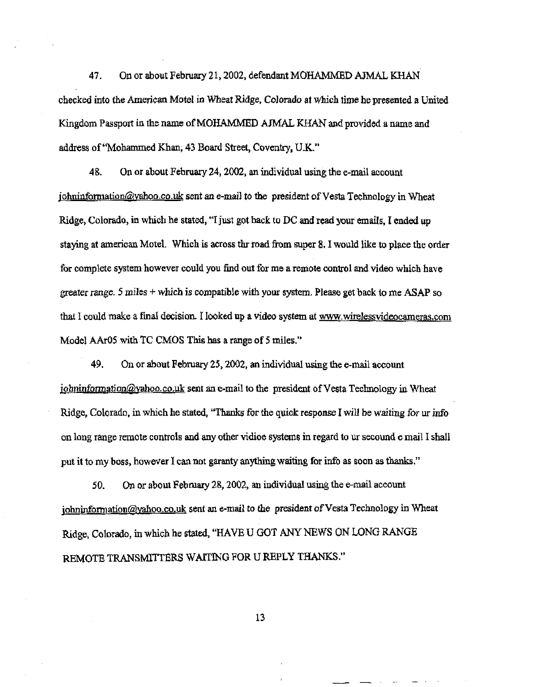47. On or about February 21,2002, defendant MOHAMMED AJMAL KHAN checked into the American Motel in Wheat Ridge, Colorado at which time he presented a United Kingdom Passport in the name of MOHAMMED AJMAL KHAN and provided a name and address of "Mohammed Khan, 43 Board Street, Coventry, UK"

48. On or about Februazy 24,2002, an individual using the e-mail account johninformation@yahoo.co.uk sent an e-mail to the president of Vesta Technology in Wheat Ridge, Colorado, in which he stated, "I just got back to DC and read your emails, I ended up staying at american Motel. Which is across thr road from super 8. I would like to place the order for complete system however could you find out for me a remote conlrol and video which have greater range. 5 miles  $+$  which is compatible with your system. Please get back to me ASAP so that I could make a final decision. I looked up a video system at www.wirelessvideocameras.com Model AAr05 with TC CMOS This has a range of 5 miles."

49. On or about February 25, 2002, an individual using the e-mail account  $j$ ohninformation@yahoo.co.uk sent an e-mail to the president of Vesta Technology in Wheat Ridge, Colorado, in which he stated, "Thanks for the quick response I will be waiting for ur info on long range remote controls and any other vidioe systems in regard to ur secound email I shall put it to my boss, however I can not garanty anything waiting for info as soon as thanks,"

SO. On or about February 28, 2002, an individual using the e-mail account johninformation@yahoo.co.uk sent an e-mail to the president of Vesta Technology in Wheat Ridge, Colorado, in which he stated, "HAVE U GOT ANY NEWS ON LONG RANGE REMOTE TRANSMITTERS WAITING FOR U REPLY THANKS."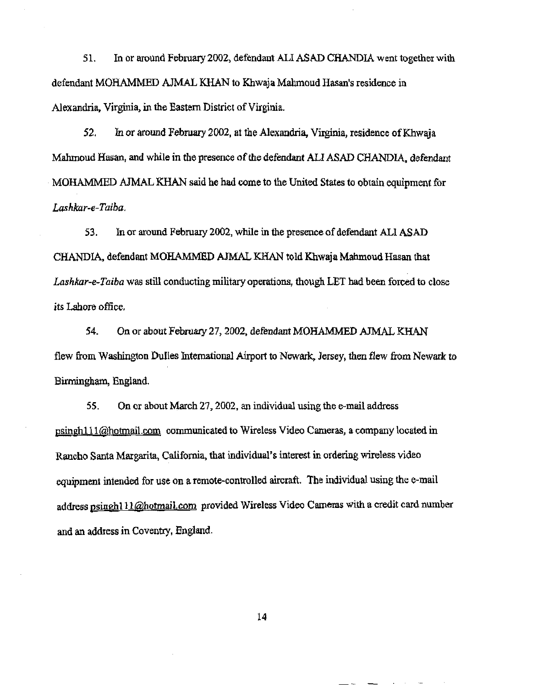51. In or around February 2002, defendant ALI ASAD CHANDIA went together with defendant MOHAMMED AJMAL KHAN to Khwaja Mahmoud Hasan's residence in Alexandria, Virginia, in the Eastern District of Virginia.

52. In or around February 2002, at the Alexandria, Virginia, residence of Khwaia Mahmoud Hasan, and while in the presence of the defendant ALI ASAD CHANDIA, defendant MOHAMMED AJMAL KHAN said he had come to the United States to obtain equipment for *Lashkar-e-Taiba.* 

53. In or around February 2002, while in the presence of defendant ALI ASAD CHANDIA, defendant MOHAMMED AJMAL KHAN told Khwaja Mahmoud Hasan that *Lashkar-e-Taiba* was still conducting military operations, though LET had been forced to close its Lahore office,

54. On or about February 27,2002, defendant MOHAMMED AJMAL KHAN flew from Washington Dulles International Airport to Newark, Jersey, then flew from Newark to Birmingham, England.

55. On or about March 27,2002, an individual using the e-mail address psingh111@hotmail.com communicated to Wireless Video Cameras, a company located in Rancho Santa Margarita, California. that individual'S interest in ordering wireless video equipment intended for use on a remote-controlled aircraft. The individual using the e-mail address psinghl 11@hotmail.com provided Wireless Video Cameras with a credit card number and an address in Coventry, England.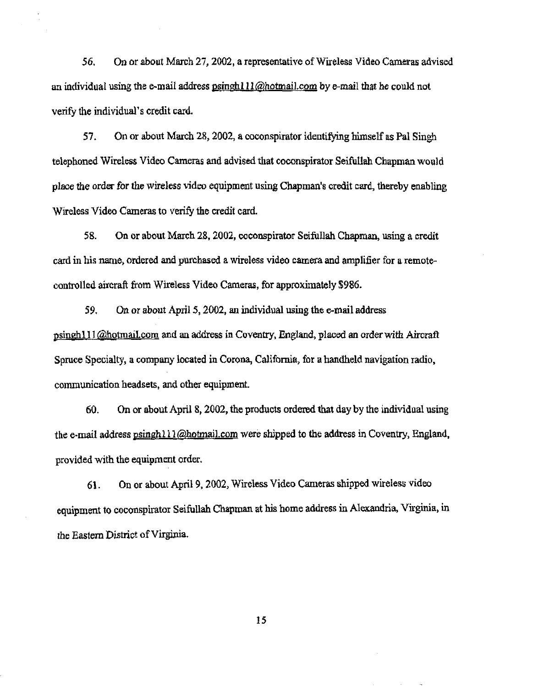56. On or about March 27, 2002, a representative of Wireless Video Cameras advised an individual using the e-mail address  $\frac{\text{psinph111}}{a}$ hotmail.com by e-mail that he could not verify the individual's credit card.

57. On or about March 28, 2002, a coconspirator identifying himself as Pal Singh telephoned Wireless Video Cameras and advised that coconspirator Seifullah Chapman would place the order for the wireless video equipment using Chapman's credit card, thereby enabling Wireless Video Cameras to verify the credit card.

58. On or about March 28, 2002, coconspirator Seifullah Chapman, using a credit card in his name, ordered and purchased a wireless video camera and amplifier for a remotecontrolled aircraft from Wireless Video Cameras, for approximately \$986.

59. On or about April 5, 2002, an individual using the e-mail address psinghl11@hotmaiLcom and an address in Coventry, England, placed an order with Aircraft Spruce Specialty, a company located in Corona, California, for a handheld navigation radio, communication headsets, and other equipment.

60. On or about April 8, 2002, the products ordered that day by the individual using the e-mail address psingh111@hotmail.com were shipped to the address in Coventry, England, provided with the equipment order.

61. On or about April 9, 2002, Wireless Video Cameras shipped wireless video equipment to coconspirator Seifullah Chapman at his home address in Alexandria, Virginia, in the Eastern District of Virginia.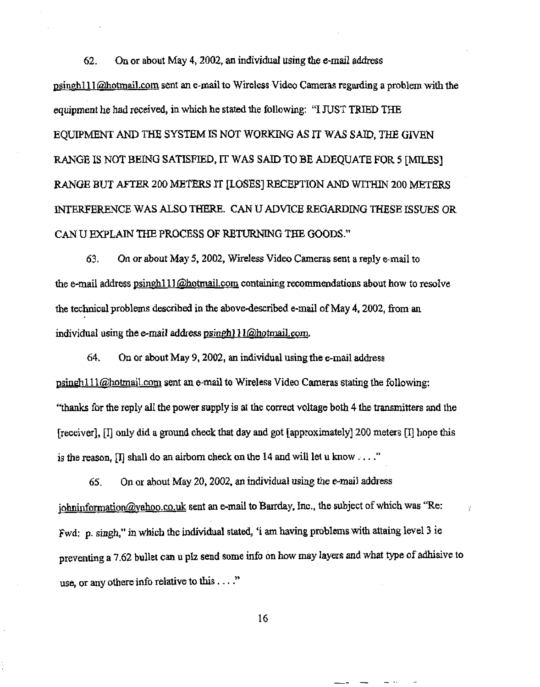62. On or about May 4, 2002, an individual using the e-mail address psinghll1 @hotmail.com sent an e-mail to Wireless Video Cameras regarding a problem with the equipment he had received, in which he stated the following: "I JUST TRIED THE EQUIPMENT AND THE SYSTEM IS NOT WORKING AS IT WAS SAID, THE GIVEN RANGE IS NOT BEING SATISFIED, IT WAS SAID TO BE ADEQUATE FOR 5 [MILES] RANGE BUT AFTER 200 METERS IT [LOSES] RECEPTION AND WlTHIN 200 METERS INTERFERENCE WAS ALSO THERE. CAN U ADVICE REGARDING THESE ISSUES OR CAN U EXPLAIN THE PROCESS OF RETURNING THE GOODS."

63. On or about May 5, 2002, Wireless Video Cameras sent a reply e-mail to the e-mail address psinghlll *Q***hotmail.com** containing recommendations about how to resolve the technical problems described in the above-described e-mail of May 4, 2002, from an individual using the e-mail address psinghl  $11$  ( $\omega$ hotmail.com.

64. On or about May 9, 2002, an individual using the e-mail address psinghl11@hotmaiLcom sent an e-mail to Wireless Video Cameras stating the following: "thanks for the reply all the power supply is at the correct voltage both 4 the transmitters and the [receiver],  $\prod$  only did a ground check that day and got [approximately] 200 meters  $\prod$  hope this is the reason,  $\Pi$  shall do an airborn check on the 14 and will let u know,  $\ldots$ ."

65. On or about May 20, 2002, an individual using the e-mail address johninformation@yahoo.co.uk sent an e-mail to Barrday, Inc., the subject of which was "Re: Fwd: p. singh," in which the individual stated, 'i am having problems with attaing level 3 ie preventing a 7.62 bullet can u plz send some info on how may layers and what type of adhisive to use, or any othere info relative to this ...."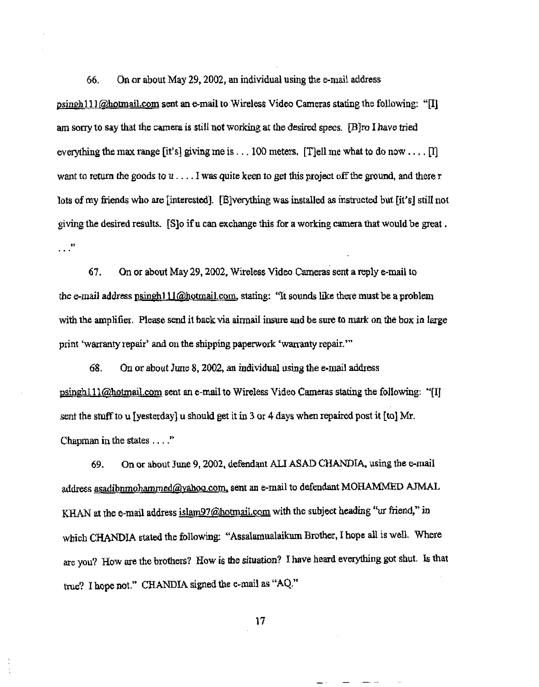66, On or about May 29, 2002, an individual using the e-mail address

psingh111  $\omega$  hotmail.com sent an e-mail to Wireless Video Cameras stating the following: " $\Pi$ ] am sorry to say that the camera is still not working at the desired specs, [B]ro I have tried everything the max range [it's] giving me is . . . 100 meters. [T]ell me what to do now . . . . [I] want to return the goods to  $u \dots$ . I was quite keen to get this project off the ground, and there r lots of my friends who are [interested]. [E]verything was installed as instructed but [it's] still not giving the desired results. [S]o ifu can exchange this for a working camera that would be great . ..

67. On or about May 29,2002, Wireless Video Cameras sent a reply e-mail to the e-mail address psingh111@hotmail.com, stating: "It sounds like there must be a problem with the amplifier. Please send it back via airmail insure and be sure to mark on the box in large print 'warranty repair' and on the shipping paperwork 'warranty repair.'"

68. On or about June 8, 2002, an individual using the e-mail address  $\gamma$  psingh111@hotmail.com sent an e-mail to Wireless Video Cameras stating the following: '' $\gamma$ sent the stuff to u [yesterday] u should get it in 3 or 4 days when repaired post it [to] Mr. Chapman in the states .... "

69. On or about June 9, 2002, defendant ALI ASAD CHANDIA, using the e-mail address asadibnmohammed@yahoo.com, sent an e-mail to defendant MOHAMMED AJMAL KHAN at the e-mail address islam97@hotmail.com with the subject heading "ur friend," in which CHANDIA stated the following: "Assalamualaikum Brother. I hope all is well. Where are you? How are the brothers? How is the situation? I have beard everything got shut. Is that true? I hope not." CHANDIA signed the e-mail as "AQ."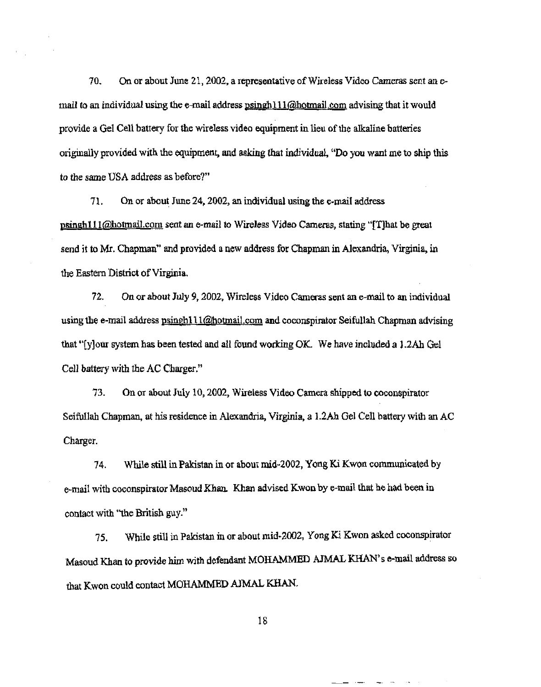70. On or about June 21, 2002, a representative of Wireless Video Cameras sent an  $e$ mail to an individual using the e-mail address  $\alpha$  psingh 111@hotmail.com advising that it would provide a Gel Cell battery for the wireless video equipment in lieu of the alkaline batteries originally provided with the equipment, and asking that individual, "Do you want me to ship this to the same USA address as before?"

71. On or about June 24,2002, an individual using the e-mail address psingh111@hotmail.com sent an e-mail to Wireless Video Cameras, stating "[T]hat be great send it to Mr. Chapman" and provided a new address for Chapman in Alexandria, Virginia, in the Eastern District of Virginia.

72. On or about July 9, 2002, Wireless Video Cameras sent an e-mail to an individual using the e-mail address psinghlll@hotmail.com and coconspirator Seifullah Chapman advising that "[y]our system has been tested and all found working OK. We have included a 1.2Ah Gel Cell battery with the AC Charger."

73. On or about July 10,2002, Wireless Video Camera shipped to coconspirator Seifullah Chapman, at his residence in Alexandria, Virginia, a 1.2Ah Gel Cell battery with an AC Charger.

74. While still in Pakistan in or about mid-2002, Yong Ki Kwon communicated by e-mail with coconspirator Masoud Khan. Khan advised Kwon by e-mail that he had been in contact with "the British guy."

75. While still in Pakistan in or about mid-2002, Yong Ki Kwon asked coconspirator Masoud Khan to provide him with defendant MOHAMMED AJMAL KHAN's e-mail address so that Kwon could contact MOHAMMED AJMAL KHAN.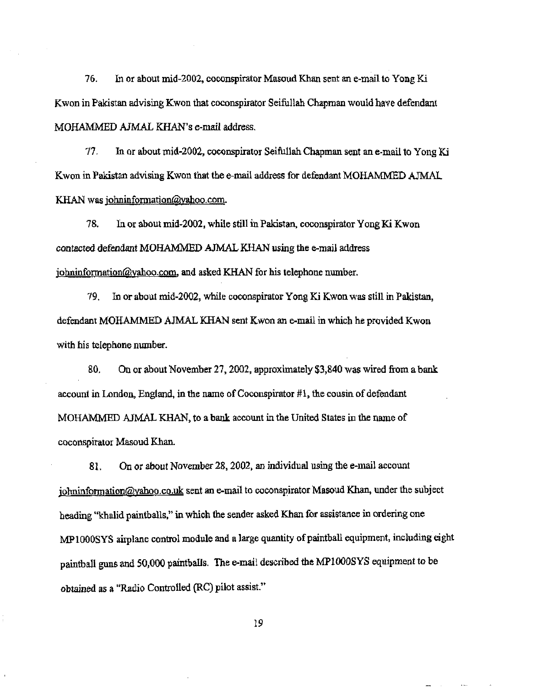76. In or about mid-2002, coconspirator Masoud Khan sent an e-mail to Yong Ki Kwon in Pakistan advising Kwon that coconspirator Seifullah Chapman would have defendant MOHAMMED AJMAL KHAN's e-mail address.

77. In or about mid-2002, coconspirator Seifullah Chapman sent an e-mail to Yong Ki Kwon in Pakistan advising Kwon that the e-mail address for defendant MOHAMMED AJMAL KHAN was johninformation@yahoo.com.

78. In Of about mid-2002, while still in Pakistan, coconspirator Yang Ki Kwon contacted defendant MOHAMMED AJMAL KHAN using the e-mail address johninformation@yahoo.com, and asked KHAN for his telephone number.

79. In or about mid-2002, while coconspirator Yang Ki Kwon was still in Pakistan, defendant MOHAMMED AJMAL KHAN sent Kwon an e-mail in which he provided Kwon with his telephone number.

80. On or about November 27,2002, approximately \$3,840 was wired from a bank account in London, England, in the name of Coconspirator  $#1$ , the cousin of defendant MOHAMMED AJMAL KHAN, to a bank account in the United States in the name of coconspirator Masoud Khan.

81. On or about November 28,2002, an individual using the e-mail account johninformation@yahoo.co.uk sent an e-mail to coconspirator Masoud Khan, under the subject heading "khalid paintballs," in which the sender asked Khan for assistance in ordering one MP1000SYS airplane control module and a large quantity of paintball equipment, including eight paintball guns and 50,000 paintballs. The e-mail described the MP1000SYS equipment to be obtained as a "Radio Controlled (RC) pilot assist."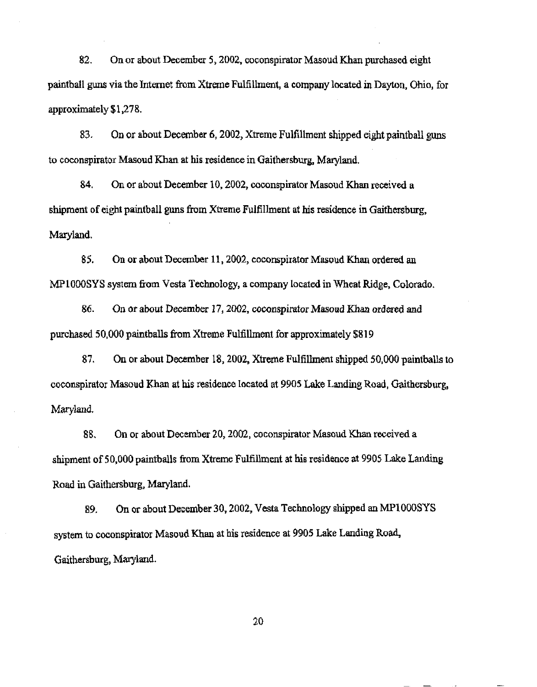82. On or about December 5, 2002, coconspirator Masoud Khan purchased eight paintball guns via the Internet from Xtreme Fulfillment, a company located in Dayton, Ohio, for approximately \$1,278.

83. On or about December 6, 2002, Xtreme Fulfillment shipped eight paintball guns to coconspirator Masoud Khan at his residence in Gaithersburg, Maryland.

84. On or about December 10, 2002, coconspirator Masoud Khan received a shipment of eight paintball guns from Xtreme Fulfillment at his residence in Gaithersburg, Maryland.

85. On or about December 11, 2002, coconspirator Masoud Khan ordered an MPIOooSYS system from Vesta Technology, a company located in Wheat Ridge, Colorado.

86. On or about December 17, 2002, cooonspirator Masoud Khan ordered and purchased 50,000 paintballs from Xtreme Fulfillment for approximately \$819

87. On or about December 18,2002, Xtreme Fulfillment shipped 50,000 paintballs to cooonspirator Masoud Khan at his residence located at 9905 Lake Landing Road, Gaithersburg, Maryland.

88. On Or about December 20, 2002, coconspirator Masoud Khan received a shipment of 50,000 paintballs from Xtreme Fulfillment at his residence at 9905 Lake Landing Road in Gaithersburg, Maryland.

89. On or about December 30, 2002, Vesta Technology shipped an MPIOOOSYS system to coconspirator Masoud Khan at his residence at 9905 Lake Landing Road, Gaithersburg, Maryland.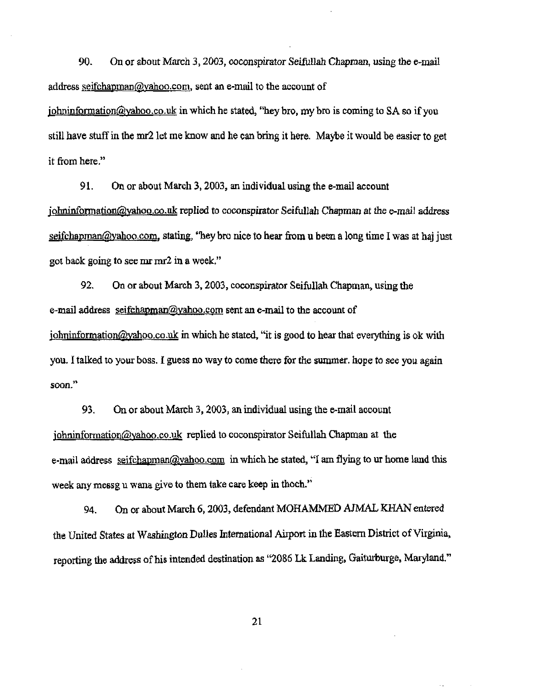90. On or about March 3, 2003, coconspirator Seifullah Chapman, using the e-mail address seifchapman@yahoo.com, sent an e-mail to the account of  $\phi$  iohninformation@yahoo.co.uk in which he stated, "hey bro, my bro is coming to SA so if you

still have stuff in the mr2 let me know and he can bring **it** here. Maybe it would be easier to get it from here."

91. On or about March 3. 2003, an individual using the e-mai) account jolminformation@yahoo.co.nk: replied to coconspirator Seifullah Chapman at the e-mail address seifchapman@yahoo.com, stating, "hey bro nice to hear from u been a long time I was at haj just got back going to see mr mr2 in a week."

92. On or about March 3, 2003, coconspirator Seifullab Chapman, using the e-mail address seifchapman@yahoo.com sent an e-mail to the account of  $j$ ohninformation@yahoo.co.uk in which he stated, "it is good to hear that everything is ok with you. I talked to your boss. I guess no way to come there for the summer, hope to see you again **soon.<sup>1</sup> \** 

93. On or about March 3, 2003, an individual using the c-mail account johninfonnation@yahoo.co.uk replied to coconspirator Seifullah Chapman at the e-mail address seifchapman@vahoo.com in which he stated, "I am flying to ur home land this week any messg u wana give to them take care keep in thoch."

94. On of about March 6, 2003, defendant MOHAMMED AJMAL KHAN entered the United States at Washington Dulles International Airport in the Eastern District of Virginia, reporting the address of his intended destination as ''2086 Lk Landing, Gaiturburge, Maryland."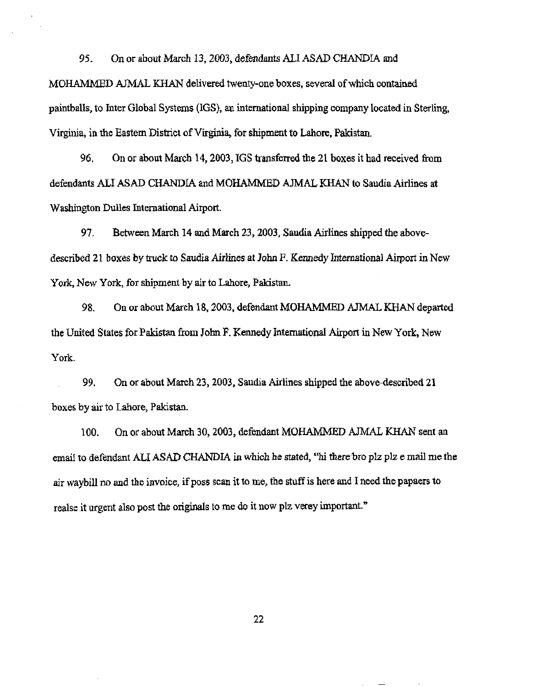95. On or about March 13, 2003, defendants ALI ASAD CHANDIA and MOHAMMED AJMAL KHAN delivered twenty-one boxes, several of which contained paintballs, to Inter Global Systems (1GS). an international shipping company located in Sterling, Virginia, in the Eastem District of Virginia, for shipment to Lahore, Pakistan.

96. On or about March 14,2003, IGS transferred the 21 boxes it had received from defendants ALI ASAD CHANDLA and MOHAMMED AJMAL KHAN to Sandia Airlines at Washington Dulles International Airport.

97. Between March 14 and March 23, 2003, Saudia Airlines shipped the abovedescribed 21 boxes by truck to Saudia Airlines at John F. Kennedy International Airport in New York, New York, for shipment by air to Lahore, Pakistan.

98. On or about March 18, 2003. defendant MOHAMMED AJMAL KHAN departed the United States for Pakistan from John F. Kennedy International Airport in New York, New York.

99. On or about March 23,2003, Saudia Airlines shipped the above-described 21 boxes by air to Lahore, Pakistan.

100. On or about March 30, 2003, defendant MOHAMMED AJMAL KHAN sent an email to defendant ALI ASAD CHANDIA in which he stated, "hi there bro plz plz e mail me the air waybill no and the invoice, if poss scan it to me, the stuff is here and I need the papaers to realse it urgent also post the originals to me do it now plz verey important."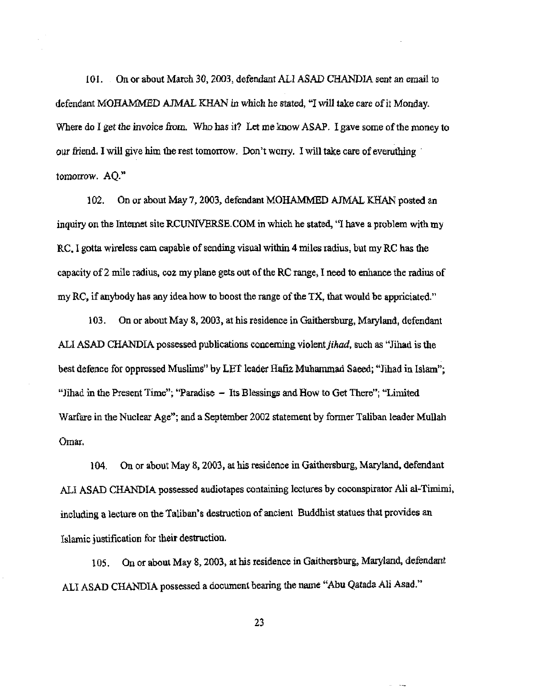101. On or about March 30, 2003, defendant ALI ASAD CHANDlA sent an email to defendant MOHAMMED A1MAL KHAN in which he stated, "1 will take care of ii Monday. Where do I get the invoice from. Who has it? Let me know ASAP. I gave some of the money to our friend. I will give him the rest tomorrow. Don't worry. I will take care of everuthing tomorrow. AQ."

1 02. On *or* about May 7, 2003, defendant MOHAMMED AJMAL KHAN posted an inguiry on the Internet site RCUNIVERSE.COM in which he stated, "I have a problem with my RC. I gotta wireless cam capable of sending visual within 4 miles radius, but my RC has the capacity of 2 mile radius,  $\cos$  my plane gets out of the RC range, I need to enhance the radius of my RC, if anybody has any idea how to boost the range of the TX, that would be appriciated."

103. On or about May 8, 2003, at his residence in Gaithersburg, Maryland, defendant ALI ASAD CHANDIA possessed publications concerning violent *jihad,* such as "Jihad is the best defence for oppressed Muslims" by LET leader Hafiz Muhammad Saeed; "Jihad in Islam"; "Jihad in the Present Time"; "Paradise - Its Blessings and How to Get There"; "Limited Warfare in the Nuclear Age"; and a September 2002 statement by former Taliban leader Mullah Omar.

104. On or about May 8, 2003, at his residence in Gaithersburg, Maryland, defendant ALI ASAD CHANDIA possessed audiotapes containing lectures by coconspirator Ali al-Tinrimi, including a lecture on the Taliban's destruction of ancient Buddhist statues that provides an Islamic justification for their destruction.

105. On or about May 8, 2003, at his residence in Gaithersburg, Maryland, defendant ALI ASAD CHANDlA possessed a document bearing the name "Abu Qatada Ali Asad."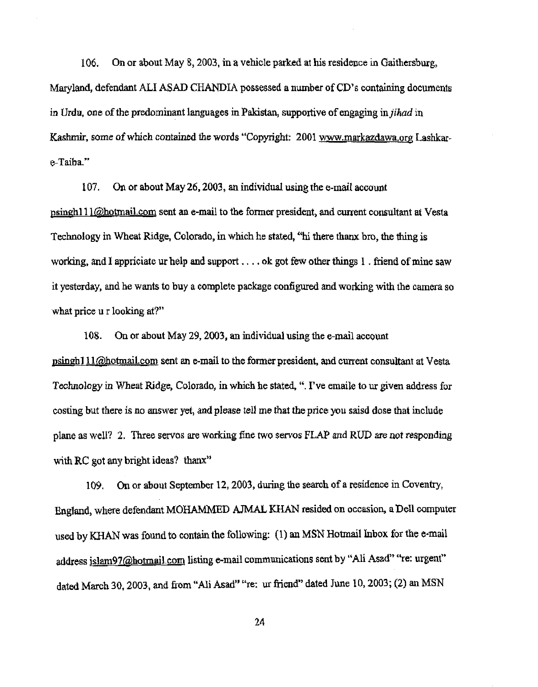106. On or about May 8, 2003, in a vehicle parked at his residence in Gaithersburg, Maryland, defendant ALI ASAD CHANDIA possessed a number of CD's containing documents in Urdu, one of the predominant languages in Pakistan, supportive of engaging *injihad* in Kashmir, some of which contained the words "Copyright: 2001 www.markazdawa.org Lashkare-Taiba."

107. On or about May 26, 2003, an individual using the e-mail account psingh111@hotmail.com sent an e-mail to the former president, and current consultant at Vesta Technology in Wheat Ridge, Colorado, in which he stated, "hi there thanx bro, the thing is working, and I appriciate ur help and support .... ok got few other things I . friend of mine saw it yesterday, and he wants to buy a complete package configured and working with the camera so what price u r looking at?"

108. On or about May 29, 2003, an individual using the e-mail account psingh1 II@hotmailcom sent an e-mail to the former president, and current consultant at Vesta Technology in Wheat Ridge, Colorado, in which he stated, ". I've emaile to ur given address for costing but there is no answer yet, and please tell me that the price you saisd dose that include plane as well? 2. Three servos are working fine two servos FLAP and RUD are not responding with RC got any bright ideas? thanx"

109. On or about September 12, 2003, during the search of a residence in Coventry, England, where defendant MOHAMMED AJMAL KHAN resided on occasion, a Dell computer used by KHAN was found to contain the following: (1) an MSN Hotmail Inbox for the e-mail address islam97@hotmail.com listing e-mail communications sent by "Ali Asad" "re: urgent" dated March 30, 2003, and from "Ali Asad" "re: ur friend" dated June 10, 2003; (2) an MSN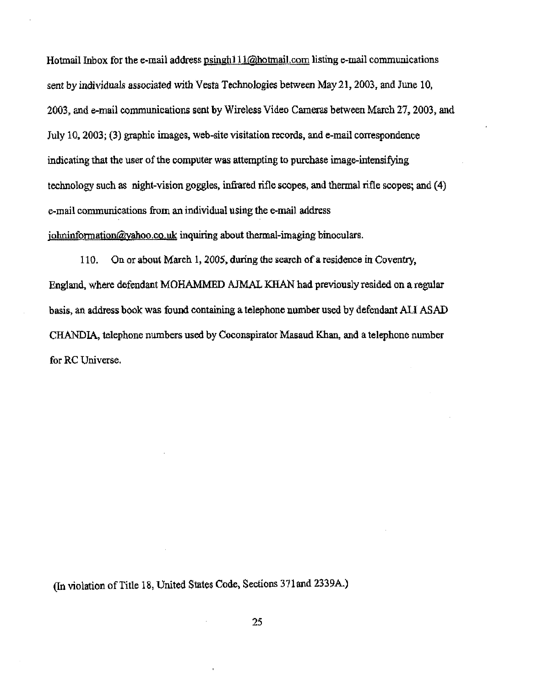Hotmail Inbox for the e-mail address  $p\sin(\frac{11}{\omega}h\omega)$  communications is in the e-mail communications sent by individuals associated with Vesta Technologies between May 21,2003, and June 10, 2003, and e-mail communications sent by Wireless Video Cameras between March 27, 2003, and July 10, 2003; (3) graphic images, web-site visitation records, and e-mail correspondence indicating that the user of the computer was attempting to purchase image-intensifying teclmology such as night-vision goggles, infrared rifle scopes, and thermal rifle scopes; and (4) e-mail communications from an individual using the e-mail address  $\phi$ <sub>i</sub>ohninformation@vahoo.co.uk inquiring about thermal-imaging binoculars.

110. On or about March 1, ZOOS, during the search of a residence in Coventry, England, where defendant MOHAMMED AJMAL KHAN had previously resided on a regular basis, an address book was found containing a telephone number used by defendant ALI ASAD CHANDIA, telephone numbers used by Coconspirator Masaud Khan, and a telephone number for RC Universe.

(In violation of Title 18, United States Code, Sections 371 and 2339A.)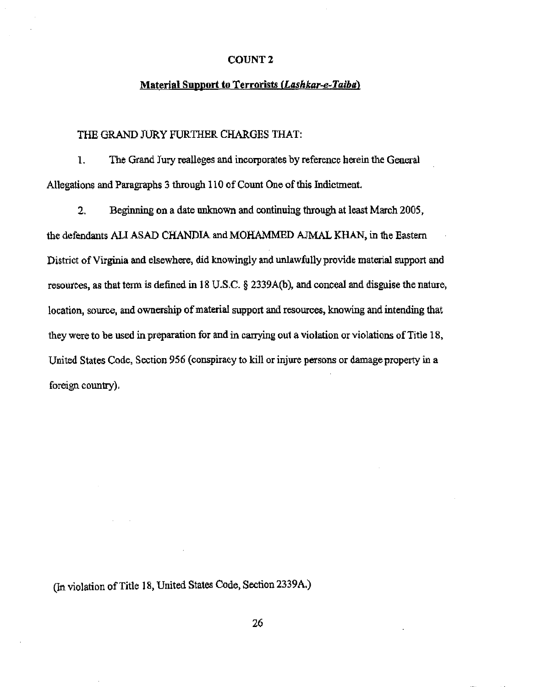## COUNT 2

# Material Support to Terrorists *(Lashkar-e-Taibal*

#### THE GRAND JURY FURTHER CHARGES THAT:

1. The Grand Jury realleges and incorporates by reference herein the General Allegations and Paragraphs 3 through 110 of Count One of this Indictment

2. Beginning on a date unknown and continuing through at least March 2005, the defendants ALI ASAD CHANDIA and MOHAMMED AJMAL KHAN, in the Eastern District of Virginia and elsewhere, did knowingly and unlawfully provide material support and resources, as that term is defined in 18 U.S.C. § 2339A(b), and conceal and disguise the nature, location, source, and ownership of material support and resources, knowing and intending that they were to be used in preparation for and in carrying out a violation or violations of Title 18, United States Code, Section 956 (conspiracy to kill or injure persons or damage property in a foreign country).

(In violation of Title 18, United States Code, Section 2339A.)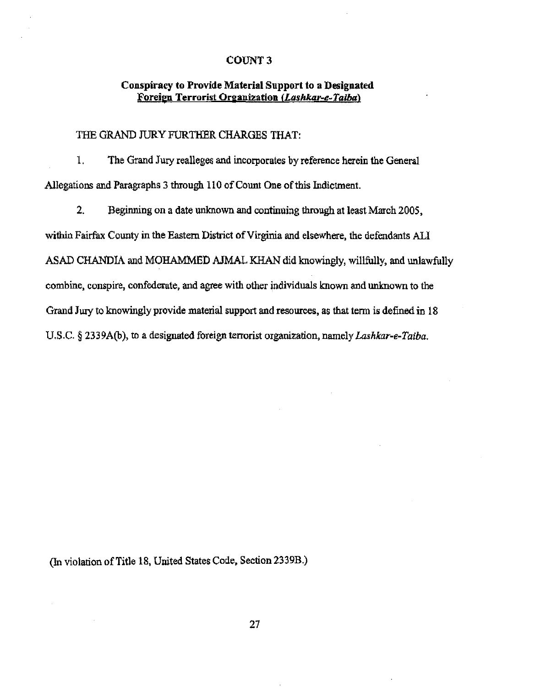### COUNT 3

## Conspiracy to Provide Material Support to a Designated Foreign Terrorist Organization (Lashkar-e-Taiba)

## THE GRAND JURy FURTHER CHARGES THAT:

1. The Grand Jury realleges and incorporates by reference herein the General Allegations and Paragraphs 3 through 110 of Count One of this Indictment.

2. Beginning on a date unknown and continuing through at least March Z005, within Fairfax County in the Eastern District of Virginia and elsewhere, the defendants ALl ASAD CHANDIA and MOHAMMED AJMAL KHAN did knowingly, willfully, and unlawfully combine, conspire, confederate, and agree with other individuals known and unknown to the Grand Jury to knowingly provide material support and resources, as that term is defined in 18 U.S.C. § 2339A(b), to a designated foreign terrorist organization, namely *Lashkar-e-Taiba.* 

(In violation of Title 18, United States Code, Section 2339B.)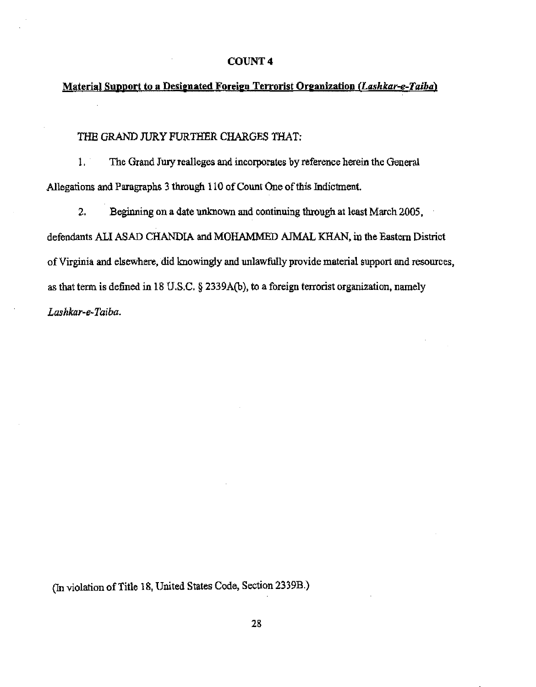## COUNT 4

# Material Support to a Designated Foreign Terrorist Organization *(Lashkar-e-Taiba)*

#### THE GRAND JURy FURTHER CHARGES THAT:

1. The Grand Jury realleges and incorporates by reference herein the General Allegations and Paragraphs 3 through 110 of Count One of this Indictment.

2. Beginning on a date unknown and continuing through at least March 2005, defendants ALI ASAD CHANDIA and MOHAMMED AJMAL KHAN, in the Eastern District of Virginia and elsewhere, did knowingly and unlawfully provide material support and resources, as that term is defined in 18 U.S.C.  $\S$  2339A(b), to a foreign terrorist organization, namely *Lashkar-e-Taiba.* 

(In violation of Title 18, United States Code, Section 2339B.)